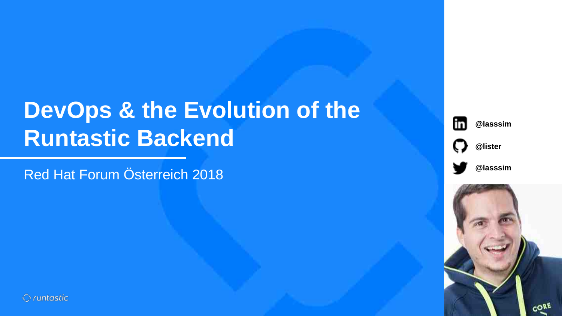# **DevOps & the Evolution of the Runtastic Backend**

Red Hat Forum Österreich 2018











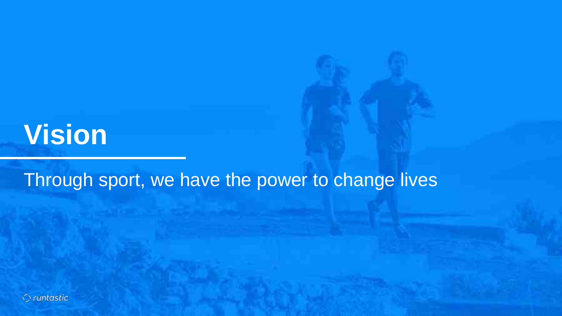# **Vision**

Through sport, we have the power to change lives

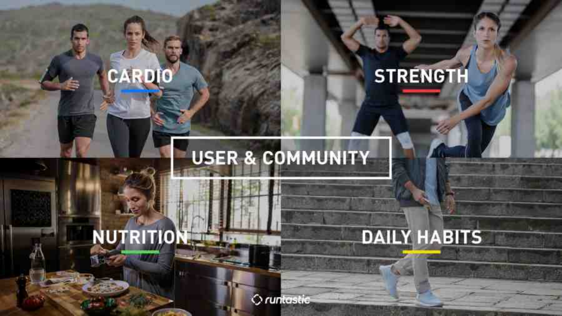# **STRENGTH**

**DAILY HABITS** 

# **USER & COMMUNITY**

# NUTRITION

CARDIO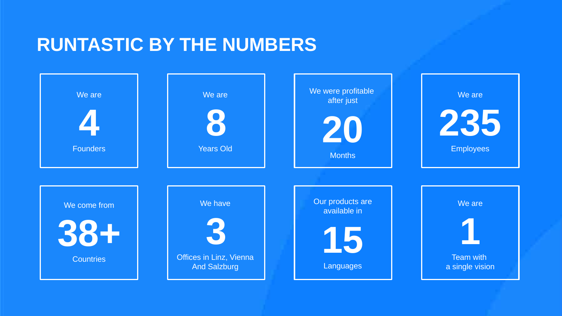## **RUNTASTIC BY THE NUMBERS**

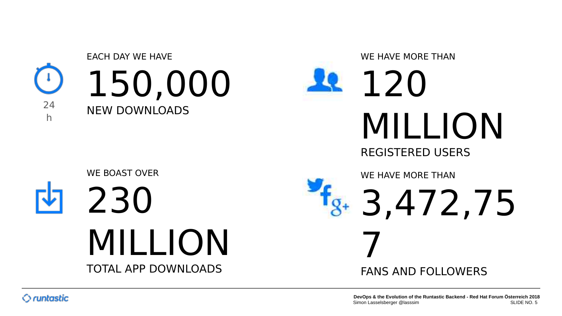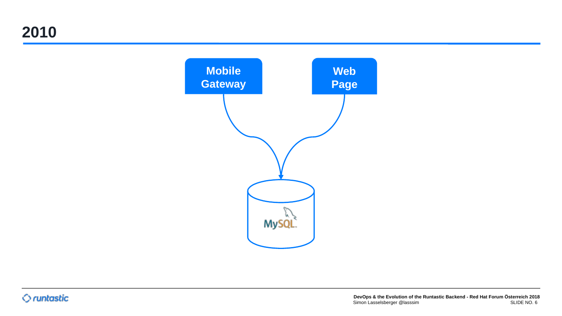**2010**

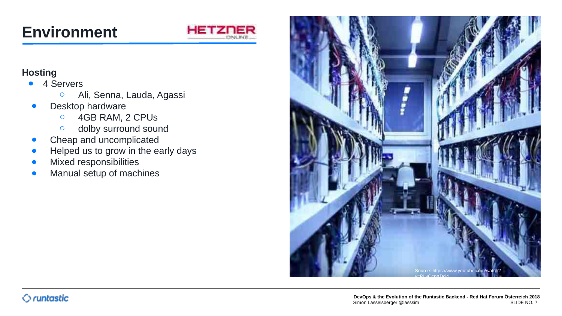## **Environment**



#### **Hosting**

- 4 Servers
	- Ali, Senna, Lauda, Agassi
- Desktop hardware
	- 4GB RAM, 2 CPUs
	- dolby surround sound
- Cheap and uncomplicated
- Helped us to grow in the early days
- **•** Mixed responsibilities
- Manual setup of machines

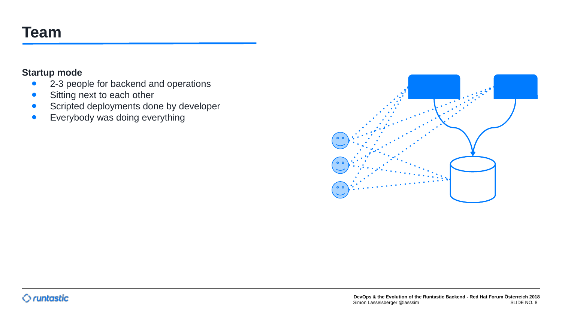## **Team**

#### **Startup mode**

- 2-3 people for backend and operations
- Sitting next to each other
- **•** Scripted deployments done by developer
- **•** Everybody was doing everything

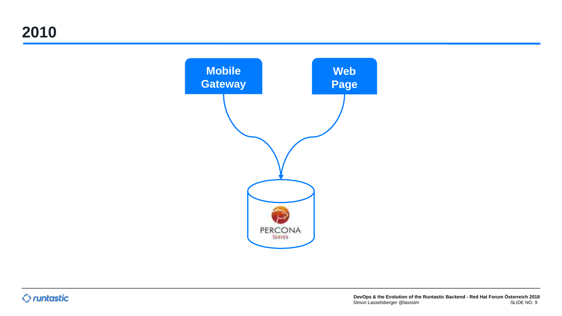**2010**

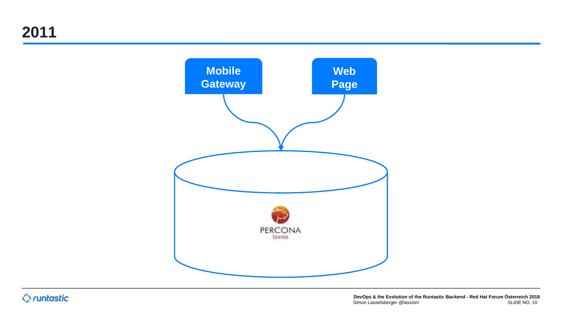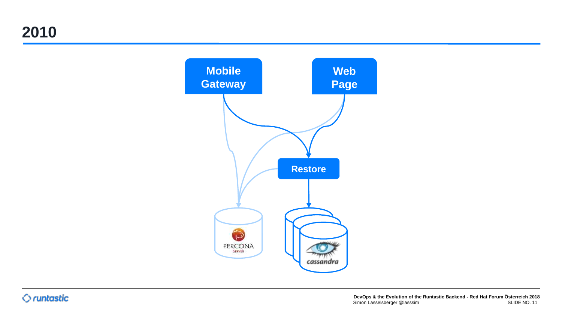**2010**

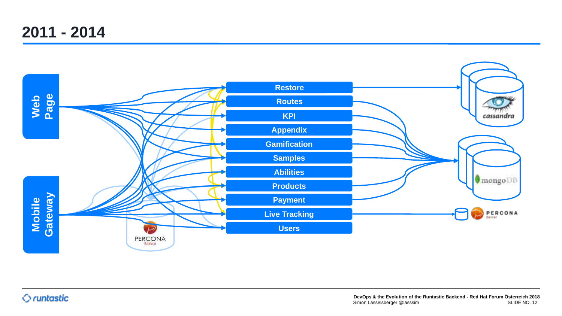**2011 - 2014**

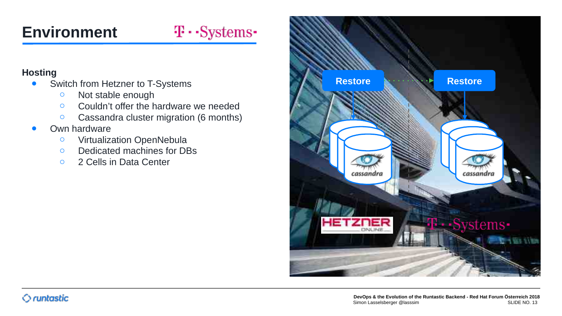## $T \cdot$ -Systems-

#### **Hosting**

- Switch from Hetzner to T-Systems
	- Not stable enough
	- Couldn't offer the hardware we needed
	- Cassandra cluster migration (6 months)
- Own hardware
	- Virtualization OpenNebula
	- Dedicated machines for DBs
	- 2 Cells in Data Center

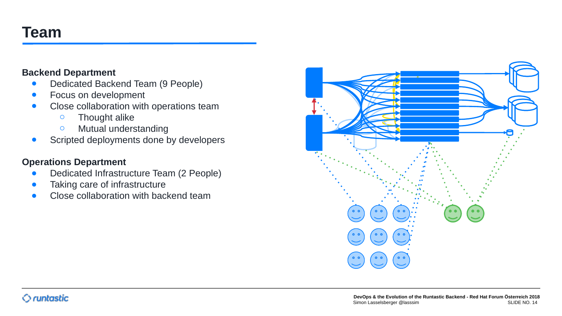## **Team**

#### **Backend Department**

- Dedicated Backend Team (9 People)
- Focus on development
- Close collaboration with operations team
	- Thought alike
	- Mutual understanding
- **•** Scripted deployments done by developers

#### **Operations Department**

- Dedicated Infrastructure Team (2 People)
- Taking care of infrastructure
- Close collaboration with backend team

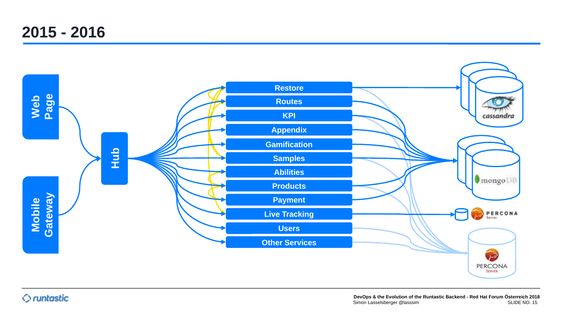## **2015 - 2016**

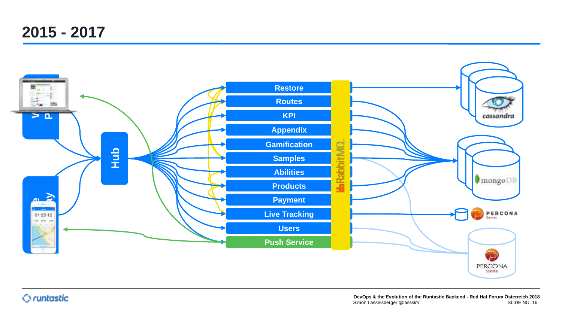**2015 - 2017**

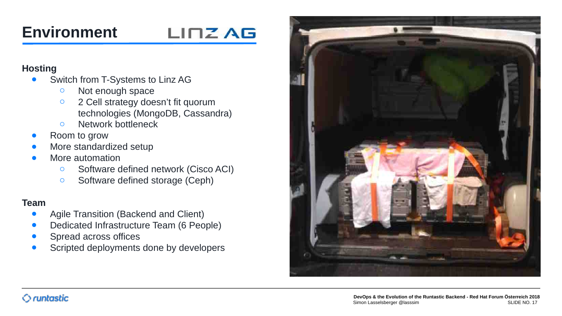## LINZ AG

#### **Hosting**

- Switch from T-Systems to Linz AG
	- Not enough space
	- 2 Cell strategy doesn't fit quorum technologies (MongoDB, Cassandra)
	- Network bottleneck
- Room to grow
- More standardized setup
- More automation
	- Software defined network (Cisco ACI)
	- Software defined storage (Ceph)

#### **Team**

- Agile Transition (Backend and Client)
- Dedicated Infrastructure Team (6 People)
- Spread across offices
- Scripted deployments done by developers

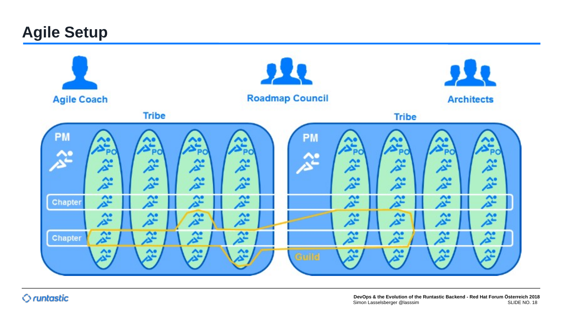## **Agile Setup**

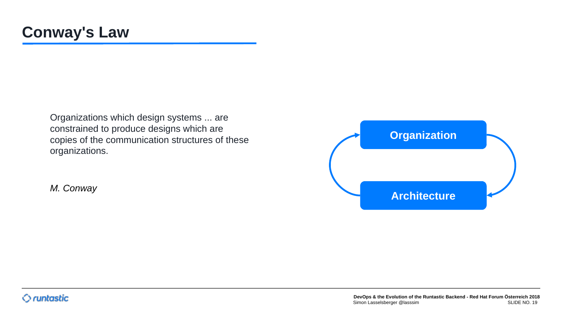Organizations which design systems ... are constrained to produce designs which are copies of the communication structures of these organizations.

*M. Conway*

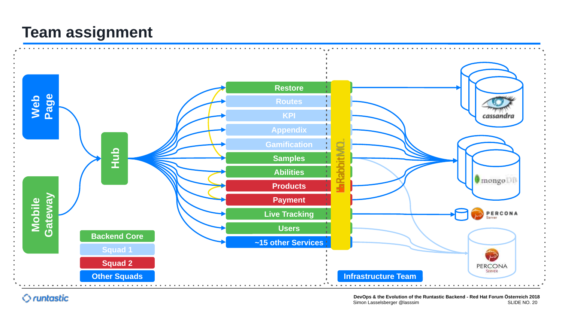## **Team assignment**

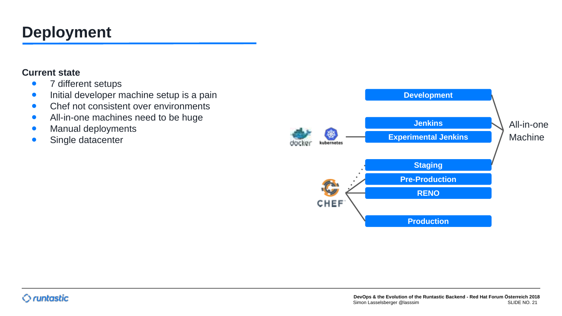## **Deployment**

#### **Current state**

- 7 different setups
- **•** Initial developer machine setup is a pain
- Chef not consistent over environments
- All-in-one machines need to be huge
- Manual deployments
- Single datacenter

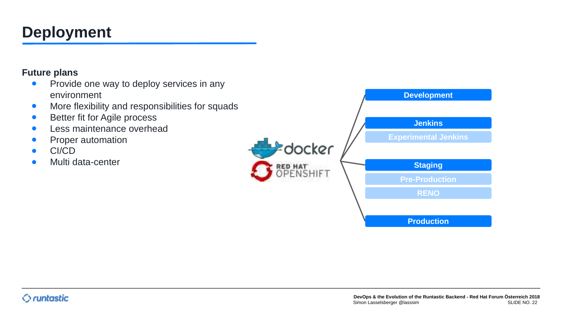## **Deployment**

#### **Future plans**

- Provide one way to deploy services in any environment
- More flexibility and responsibilities for squads
- Better fit for Agile process
- Less maintenance overhead
- Proper automation
- CI/CD
- Multi data-center

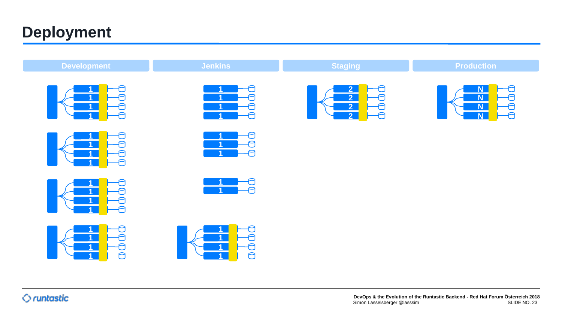## **Deployment**

| <b>Development</b>                                                                  | <b>Jenkins</b>                        | <b>Staging</b>                                          | <b>Production</b>                                   |
|-------------------------------------------------------------------------------------|---------------------------------------|---------------------------------------------------------|-----------------------------------------------------|
| a<br>$\begin{array}{c} 1 \\ -1 \\ 0 \end{array}$<br>$\blacksquare$                  | ð<br>1<br>曰<br>đ<br>Ð                 | 2 <br>$\frac{1}{10}$<br>$\frac{2}{2}$<br>$\overline{2}$ | N,<br>N,<br>ta<br>D<br>N<br>$\overline{\mathsf{N}}$ |
| n<br>He<br>He<br>$\mathbf{1}$                                                       | Ð<br>Ð<br>$\mathbf{1}$<br>Ð           |                                                         |                                                     |
| $\begin{array}{c} \mathbf{I} \\ \hline \mathbf{I} \\ \hline \mathbf{I} \end{array}$ | €<br>Ð                                |                                                         |                                                     |
| €                                                                                   | $\begin{array}{c} 1 \\ 1 \end{array}$ |                                                         |                                                     |
|                                                                                     |                                       |                                                         |                                                     |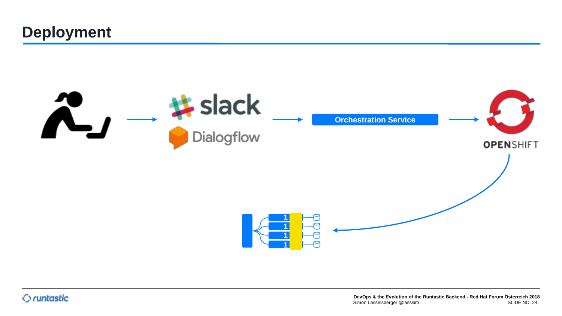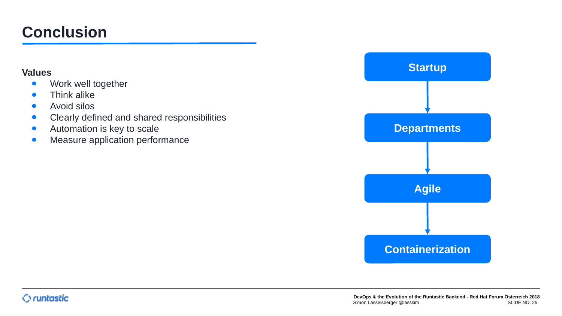## **Conclusion**

#### **Values**

- Work well together
- Think alike
- Avoid silos
- Clearly defined and shared responsibilities
- Automation is key to scale
- **•** Measure application performance